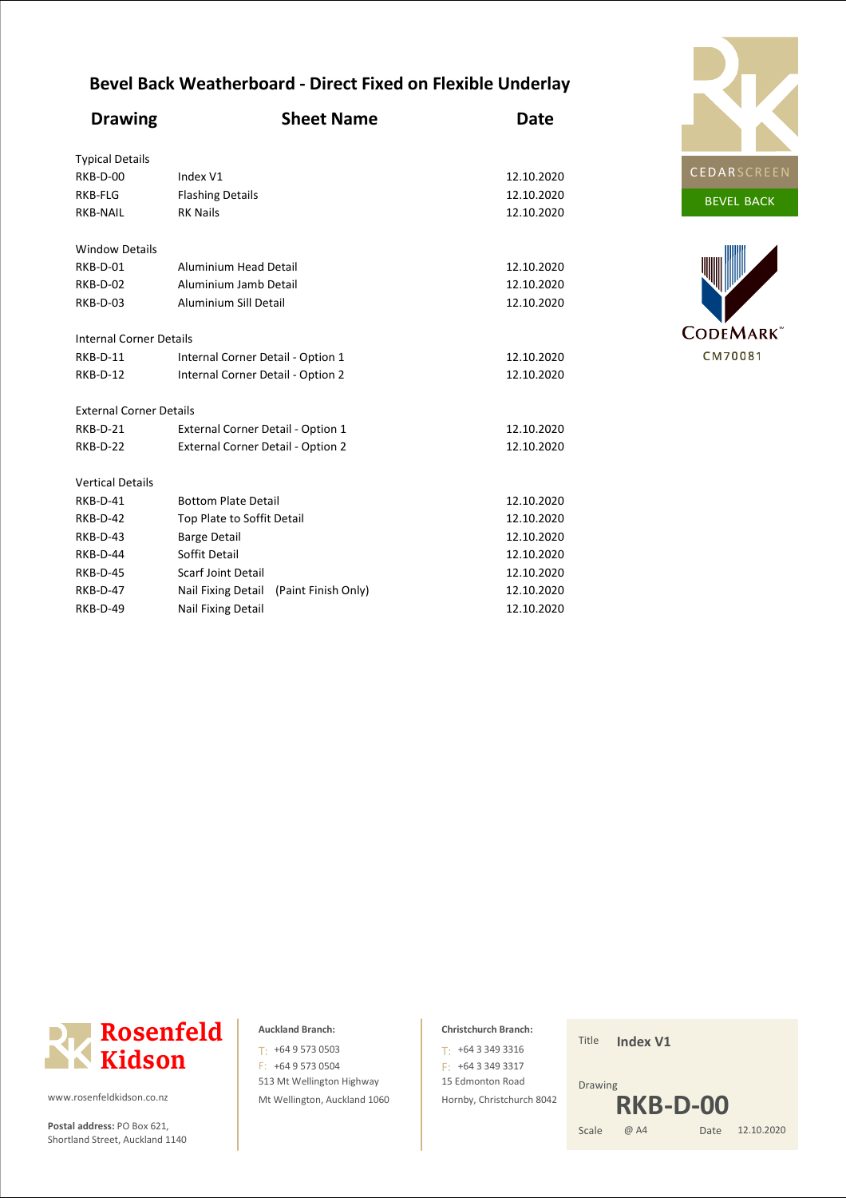## **Bevel Back Weatherboard - Direct Fixed on Flexible Underlay**

| <b>Drawing</b>                 | <b>Sheet Name</b>                         | <b>Date</b> |
|--------------------------------|-------------------------------------------|-------------|
| <b>Typical Details</b>         |                                           |             |
| RKB-D-00                       | Index V1                                  | 12.10.2020  |
| RKB-FLG                        | <b>Flashing Details</b>                   | 12.10.2020  |
| RKB-NAIL                       | <b>RK Nails</b>                           | 12.10.2020  |
| <b>Window Details</b>          |                                           |             |
| RKB-D-01                       | Aluminium Head Detail                     | 12.10.2020  |
| RKB-D-02                       | Aluminium Jamb Detail                     | 12.10.2020  |
| RKB-D-03                       | Aluminium Sill Detail                     | 12.10.2020  |
| <b>Internal Corner Details</b> |                                           |             |
| RKB-D-11                       | Internal Corner Detail - Option 1         | 12.10.2020  |
| RKB-D-12                       | Internal Corner Detail - Option 2         | 12.10.2020  |
| <b>External Corner Details</b> |                                           |             |
| RKB-D-21                       | External Corner Detail - Option 1         | 12.10.2020  |
| RKB-D-22                       | External Corner Detail - Option 2         | 12.10.2020  |
| <b>Vertical Details</b>        |                                           |             |
| RKB-D-41                       | <b>Bottom Plate Detail</b>                | 12.10.2020  |
| RKB-D-42                       | Top Plate to Soffit Detail                | 12.10.2020  |
| RKB-D-43                       | <b>Barge Detail</b>                       | 12.10.2020  |
| RKB-D-44                       | Soffit Detail                             | 12.10.2020  |
| RKB-D-45                       | Scarf Joint Detail                        | 12.10.2020  |
| <b>RKB-D-47</b>                | Nail Fixing Detail<br>(Paint Finish Only) | 12.10.2020  |
| <b>RKB-D-49</b>                | Nail Fixing Detail                        | 12.10.2020  |







www.rosenfeldkidson.co.nz

Postal address: PO Box 621, Shortland Street, Auckland 1140

### **Auckland Branch:**

513 Mt Wellington Highway Mt Wellington, Auckland 1060 T: +64 9 573 0503 F: +64 9 573 0504

### **Christchurch Branch:**

15 Edmonton Road Hornby, Christchurch 8042  $T: +6433493316$ F: +64 3 349 3317

Title **Index V1**

Date 12.10.2020 Drawing Scale @ A4 **RKB-D-00**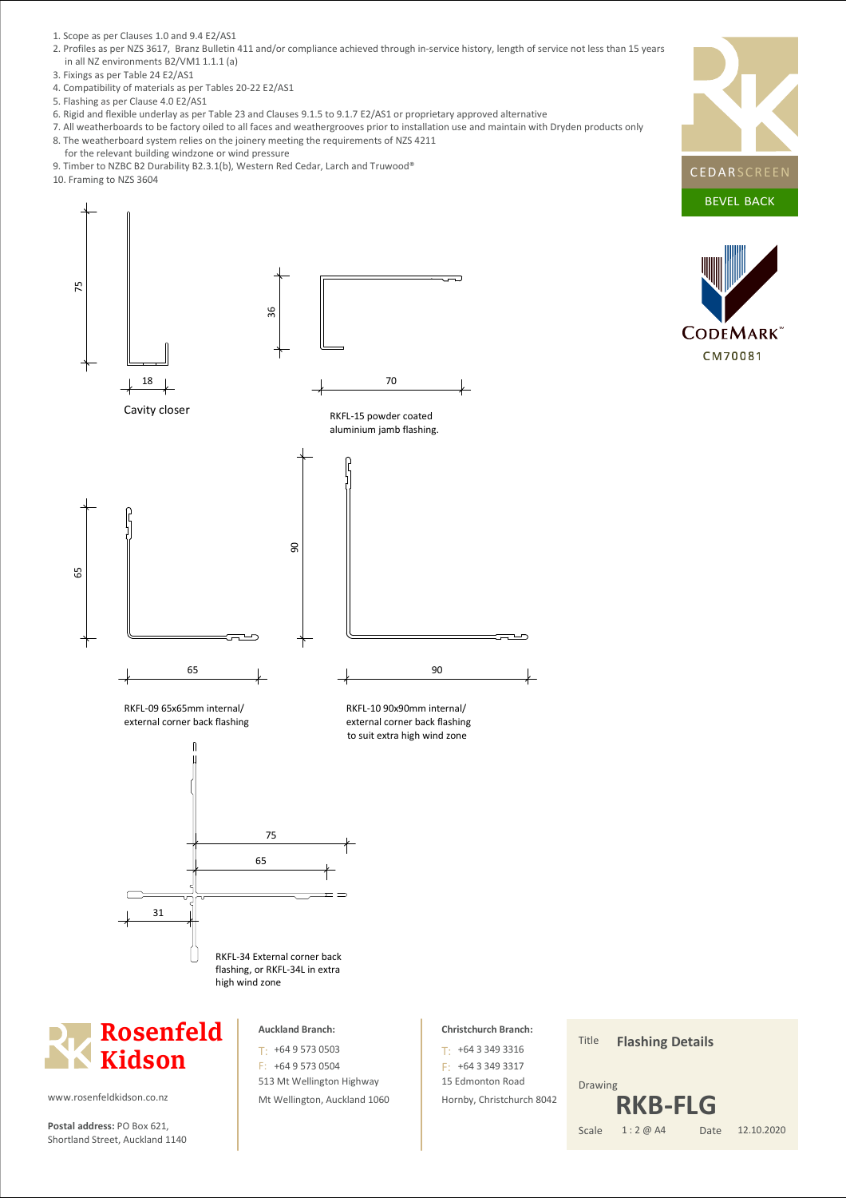- 1. Scope as per Clauses 1.0 and 9.4 E2/AS1
- 2. Profiles as per NZS 3617, Branz Bulletin 411 and/or compliance achieved through in-service history, length of service not less than 15 years in all NZ environments B2/VM1 1.1.1 (a)
- 3. Fixings as per Table 24 E2/AS1
- 4. Compatibility of materials as per Tables 20-22 E2/AS1
- 5. Flashing as per Clause 4.0 E2/AS1
- 6. Rigid and flexible underlay as per Table 23 and Clauses 9.1.5 to 9.1.7 E2/AS1 or proprietary approved alternative

ا ھ

7. All weatherboards to be factory oiled to all faces and weathergrooves prior to installation use and maintain with Dryden products only 8. The weatherboard system relies on the joinery meeting the requirements of NZS 4211

70

 $\overline{\phantom{0}}$ 

90

RKFL-10 90x90mm internal/

RKFL-15 powder coated aluminium jamb flashing.

- for the relevant building windzone or wind pressure
- 9. Timber to NZBC B2 Durability B2.3.1(b), Western Red Cedar, Larch and Truwood®
- 10. Framing to NZS 3604

75





18



RKFL-09 65x65mm internal/ external corner back flashing





www.rosenfeldkidson.co.nz

**Postal address:** PO Box 621, Scale Shortland Street, Auckland 1140

#### **Auckland Branch:**

513 Mt Wellington Highway Mt Wellington, Auckland 1060 T: +64 9 573 0503 F: +64 9 573 0504

#### **Christchurch Branch:**

15 Edmonton Road Hornby, Christchurch 8042 +64 3 349 3316 T: F: +64 3 349 3317

Title Date Drawing 1 : 2 @ A4 **Flashing Details** 12.10.2020 **RKB-FLG**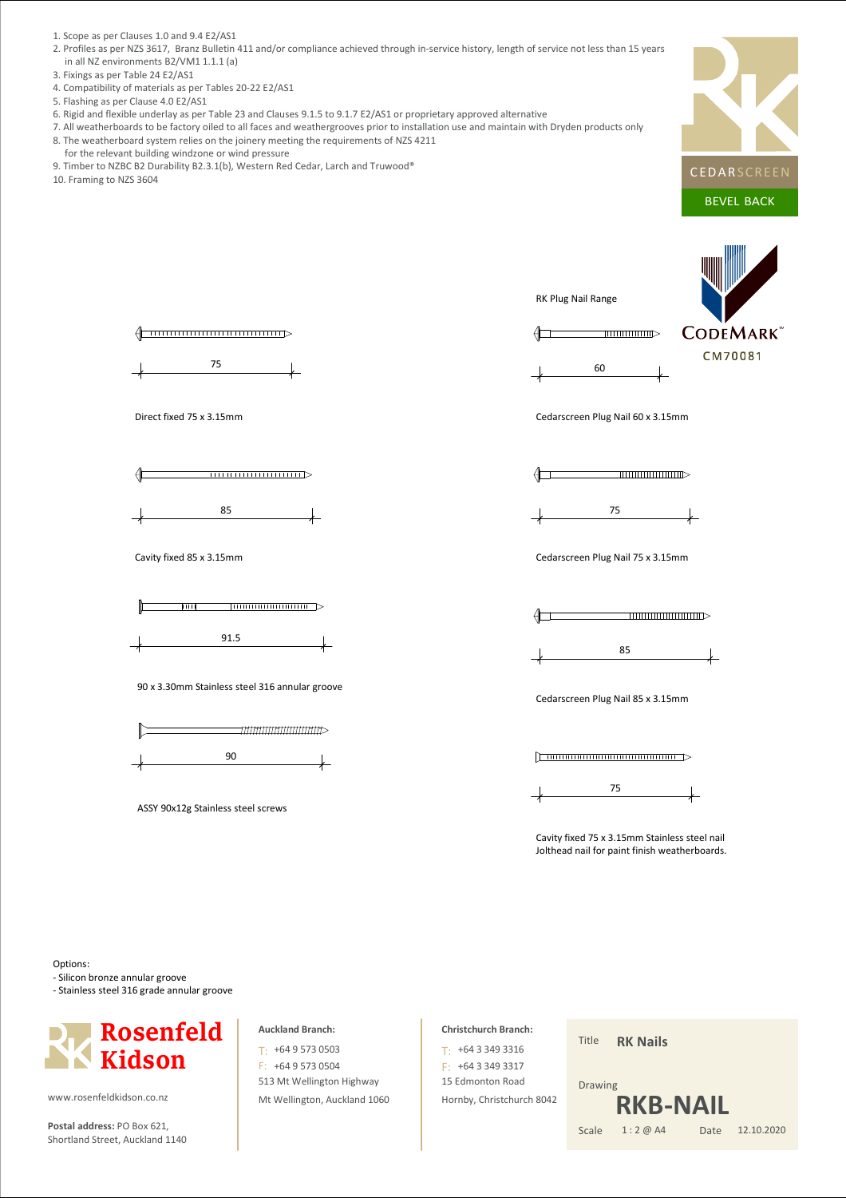- 1. Scope as per Clauses 1.0 and 9.4 E2/AS1
- 2. Profiles as per NZS 3617, Branz Bulletin 411 and/or compliance achieved through in-service history, length of service not less than 15 years in all NZ environments B2/VM1 1.1.1 (a)
- 3. Fixings as per Table 24 E2/AS1
- 4. Compatibility of materials as per Tables 20-22 E2/AS1
- 5. Flashing as per Clause 4.0 E2/AS1
- 6. Rigid and flexible underlay as per Table 23 and Clauses 9.1.5 to 9.1.7 E2/AS1 or proprietary approved alternative
- 7. All weatherboards to be factory oiled to all faces and weathergrooves prior to installation use and maintain with Dryden products only 8. The weatherboard system relies on the joinery meeting the requirements of NZS 4211
- for the relevant building windzone or wind pressure
- 9. Timber to NZBC B2 Durability B2.3.1(b), Western Red Cedar, Larch and Truwood®
- 10. Framing to NZS 3604







Cavity fixed 85 x 3.15mm



90 x 3.30mm Stainless steel 316 annular groove



| ASSY 90x12g Stainless steel screws |  |  |  |
|------------------------------------|--|--|--|
|------------------------------------|--|--|--|

RK Plug Nail Range



**CODEMARK** CM70081

Cedarscreen Plug Nail 60 x 3.15mm





Cedarscreen Plug Nail 75 x 3.15mm



85

Cedarscreen Plug Nail 85 x 3.15mm



Cavity fixed 75 x 3.15mm Stainless steel nail Jolthead nail for paint finish weatherboards.

Options:

- Silicon bronze annular groove

- Stainless steel 316 grade annular groove



www.rosenfeldkidson.co.nz

**Postal address:** PO Box 621, Scale Shortland Street, Auckland 1140

#### **Auckland Branch:**

513 Mt Wellington Highway Mt Wellington, Auckland 1060 T: +64 9 573 0503 F: +64 9 573 0504

### **Christchurch Branch:**

15 Edmonton Road Hornby, Christchurch 8042 +64 3 349 3316 T: F: +64 3 349 3317

Title **RK Nails**

#### Date Drawing 1 : 2 @ A4 12.10.2020 **RKB-N**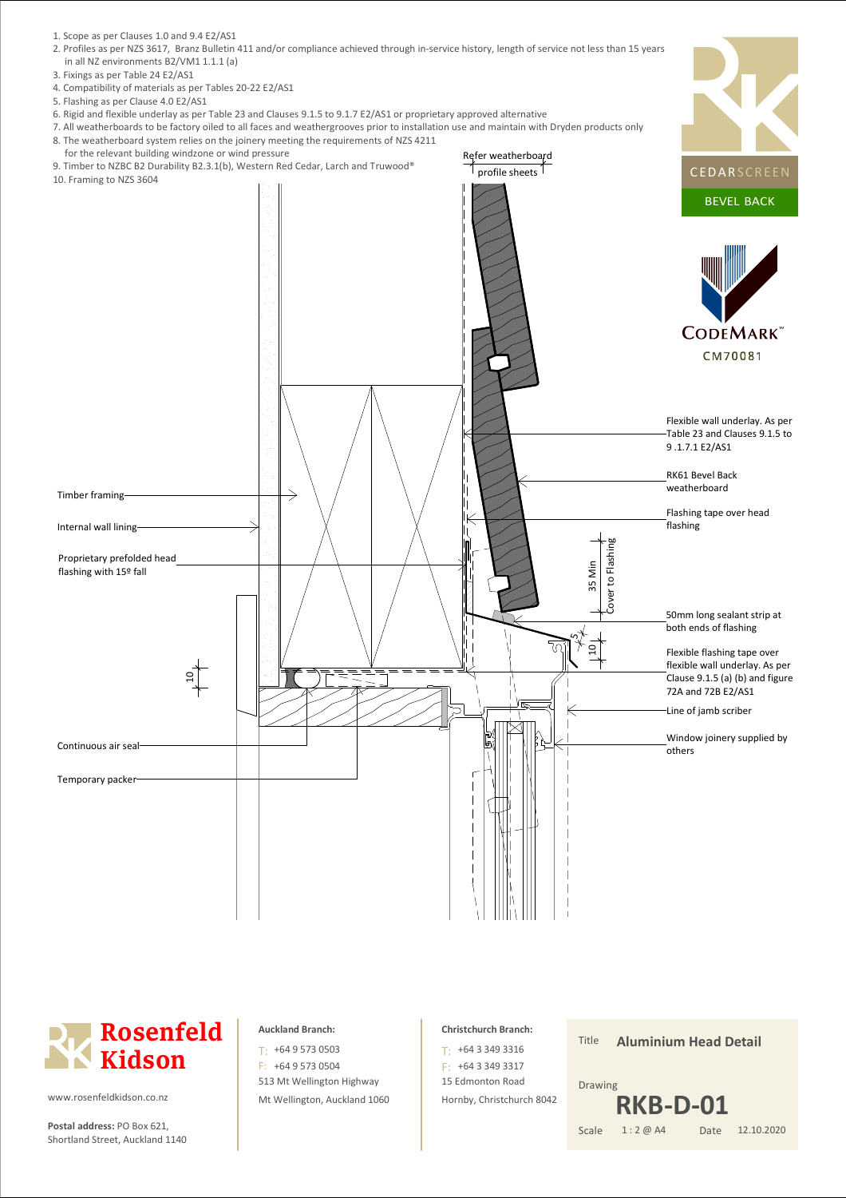



**Postal address:** PO Box 621, Scale Shortland Street, Auckland 1140

#### **Auckland Branch:**

513 Mt Wellington Highway Mt Wellington, Auckland 1060 T: +64 9 573 0503 F: +64 9 573 0504

#### **Christchurch Branch:**

15 Edmonton Road Hornby, Christchurch 8042 +64 3 349 3316 T: F: +64 3 349 3317

Title

Date Drawing 1 : 2 @ A4 **Aluminium Head Detail** 12.10.2020 **RKB-D-01**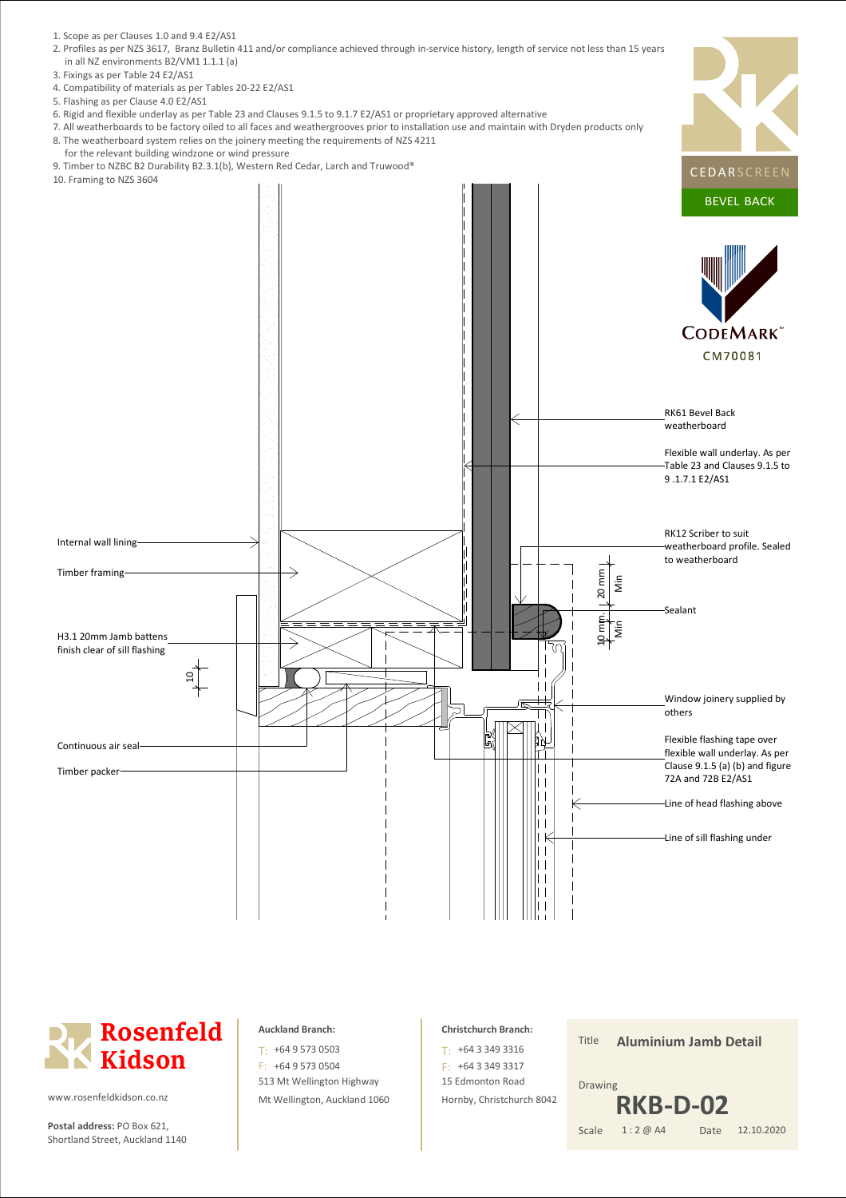- 1. Scope as per Clauses 1.0 and 9.4 E2/AS1
- 2. Profiles as per NZS 3617, Branz Bulletin 411 and/or compliance achieved through in-service history, length of service not less than 15 years in all NZ environments B2/VM1 1.1.1 (a)
- 3. Fixings as per Table 24 E2/AS1
- 4. Compatibility of materials as per Tables 20-22 E2/AS1
- 5. Flashing as per Clause 4.0 E2/AS1
- 6. Rigid and flexible underlay as per Table 23 and Clauses 9.1.5 to 9.1.7 E2/AS1 or proprietary approved alternative

 $\overline{\phantom{0}}$ 

- 7. All weatherboards to be factory oiled to all faces and weathergrooves prior to installation use and maintain with Dryden products only 8. The weatherboard system relies on the joinery meeting the requirements of NZS 4211
- for the relevant building windzone or wind pressure
- 9. Timber to NZBC B2 Durability B2.3.1(b), Western Red Cedar, Larch and Truwood®
- 10. Framing to NZS 3604

Internal wall lining

H3.1 20mm Jamb battens finish clear of sill flashing

Timber framing

Continuous air seal Timber packer

ا 5



# **Rosenfeld Kidson**

www.rosenfeldkidson.co.nz

**Postal address:** PO Box 621, Scale Shortland Street, Auckland 1140

#### **Auckland Branch:**

513 Mt Wellington Highway Mt Wellington, Auckland 1060 T: +64 9 573 0503 F: +64 9 573 0504

#### **Christchurch Branch:**

15 Edmonton Road Hornby, Christchurch 8042 +64 3 349 3316 T: F: +64 3 349 3317

- 1

Title Date Drawing 1 : 2 @ A4 **Aluminium Jamb Detail** 12.10.2020 **RKB-D-02**

Line of head flashing above

Line of sill flashing under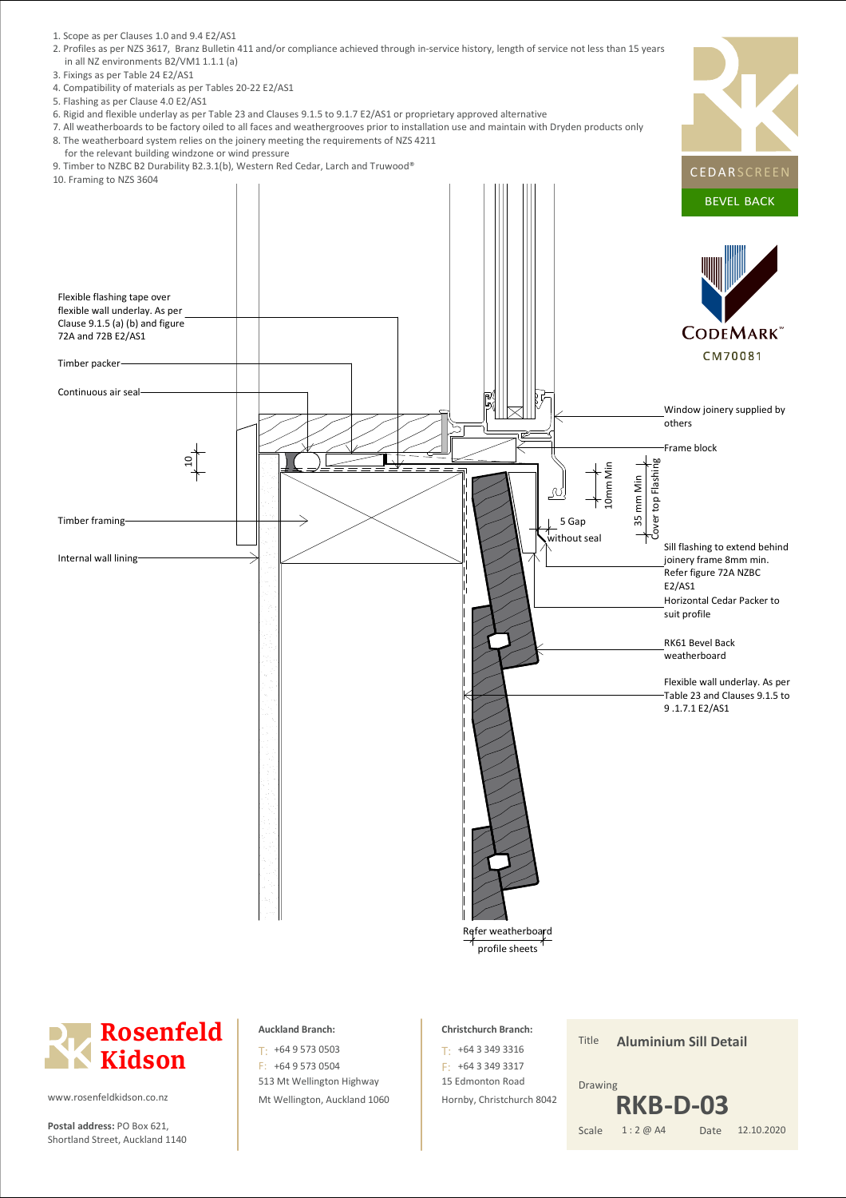- 1. Scope as per Clauses 1.0 and 9.4 E2/AS1
- 2. Profiles as per NZS 3617, Branz Bulletin 411 and/or compliance achieved through in-service history, length of service not less than 15 years in all NZ environments B2/VM1 1.1.1 (a)
- 3. Fixings as per Table 24 E2/AS1
- 4. Compatibility of materials as per Tables 20-22 E2/AS1
- 5. Flashing as per Clause 4.0 E2/AS1
- 6. Rigid and flexible underlay as per Table 23 and Clauses 9.1.5 to 9.1.7 E2/AS1 or proprietary approved alternative
- 7. All weatherboards to be factory oiled to all faces and weathergrooves prior to installation use and maintain with Dryden products only 8. The weatherboard system relies on the joinery meeting the requirements of NZS 4211
- for the relevant building windzone or wind pressure
- 
- 





**Postal address:** PO Box 621, Scale Shortland Street, Auckland 1140

#### **Auckland Branch:**

513 Mt Wellington Highway Mt Wellington, Auckland 1060 T: +64 9 573 0503 F: +64 9 573 0504

### **Christchurch Branch:**

15 Edmonton Road Hornby, Christchurch 8042 +64 3 349 3316 T: F: +64 3 349 3317

Title Date Drawing 1 : 2 @ A4 **Aluminium Sill Detail** 12.10.2020 **RKB-D-03**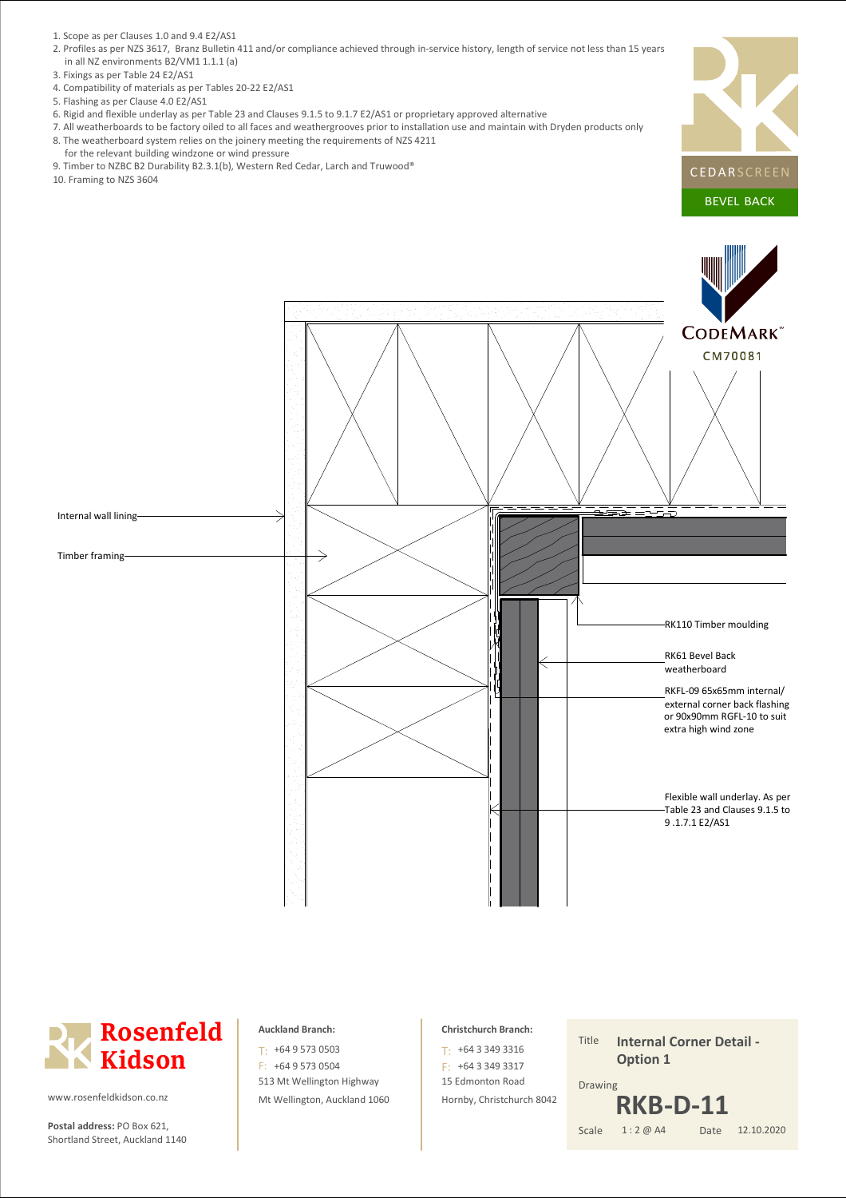- 1. Scope as per Clauses 1.0 and 9.4 E2/AS1
- 2. Profiles as per NZS 3617, Branz Bulletin 411 and/or compliance achieved through in-service history, length of service not less than 15 years in all NZ environments B2/VM1 1.1.1 (a)
- 3. Fixings as per Table 24 E2/AS1
- 4. Compatibility of materials as per Tables 20-22 E2/AS1
- 5. Flashing as per Clause 4.0 E2/AS1
- 6. Rigid and flexible underlay as per Table 23 and Clauses 9.1.5 to 9.1.7 E2/AS1 or proprietary approved alternative
- 7. All weatherboards to be factory oiled to all faces and weathergrooves prior to installation use and maintain with Dryden products only 8. The weatherboard system relies on the joinery meeting the requirements of NZS 4211
- for the relevant building windzone or wind pressure
- 9. Timber to NZBC B2 Durability B2.3.1(b), Western Red Cedar, Larch and Truwood®
- 10. Framing to NZS 3604





**Postal address:** PO Box 621, Scale Shortland Street, Auckland 1140

#### **Auckland Branch:**

513 Mt Wellington Highway Mt Wellington, Auckland 1060 T: +64 9 573 0503 F: +64 9 573 0504

#### **Christchurch Branch:**

15 Edmonton Road Hornby, Christchurch 8042 +64 3 349 3316 T: F: +64 3 349 3317

Title Drawing **Internal Corner Detail - Option 1**

#### Date 1 : 2 @ A4 12.10.2020 **RKB-D-11**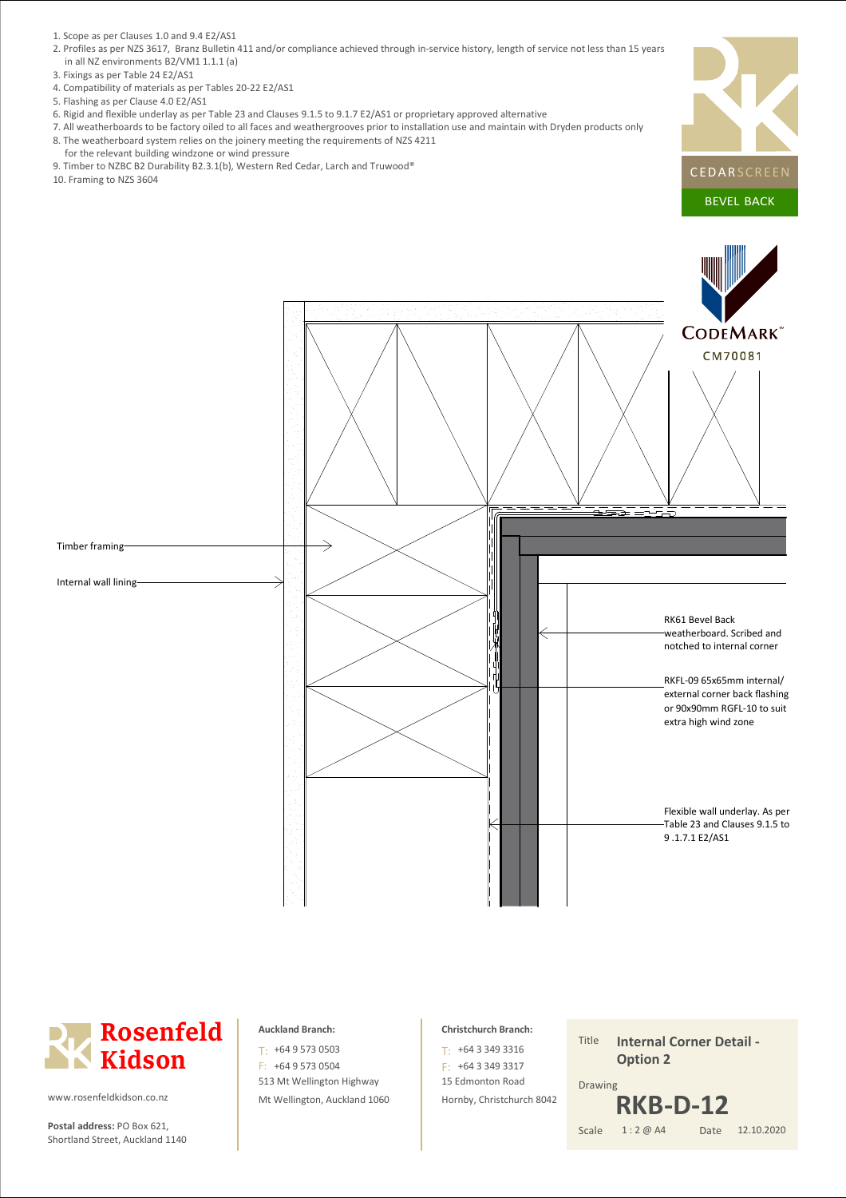- 1. Scope as per Clauses 1.0 and 9.4 E2/AS1
- 2. Profiles as per NZS 3617, Branz Bulletin 411 and/or compliance achieved through in-service history, length of service not less than 15 years in all NZ environments B2/VM1 1.1.1 (a)
- 3. Fixings as per Table 24 E2/AS1
- 4. Compatibility of materials as per Tables 20-22 E2/AS1
- 5. Flashing as per Clause 4.0 E2/AS1
- 6. Rigid and flexible underlay as per Table 23 and Clauses 9.1.5 to 9.1.7 E2/AS1 or proprietary approved alternative
- 7. All weatherboards to be factory oiled to all faces and weathergrooves prior to installation use and maintain with Dryden products only 8. The weatherboard system relies on the joinery meeting the requirements of NZS 4211
- 
- 
- 10. Framing to NZS 3604





**Postal address:** PO Box 621, Scale Shortland Street, Auckland 1140

#### **Auckland Branch:**

513 Mt Wellington Highway Mt Wellington, Auckland 1060 T: +64 9 573 0503 F: +64 9 573 0504

#### **Christchurch Branch:**

15 Edmonton Road Hornby, Christchurch 8042 +64 3 349 3316 T: F: +64 3 349 3317

Title Drawing **Internal Corner Detail - Option 2 RKB-D-12**

#### Date 1 : 2 @ A4

12.10.2020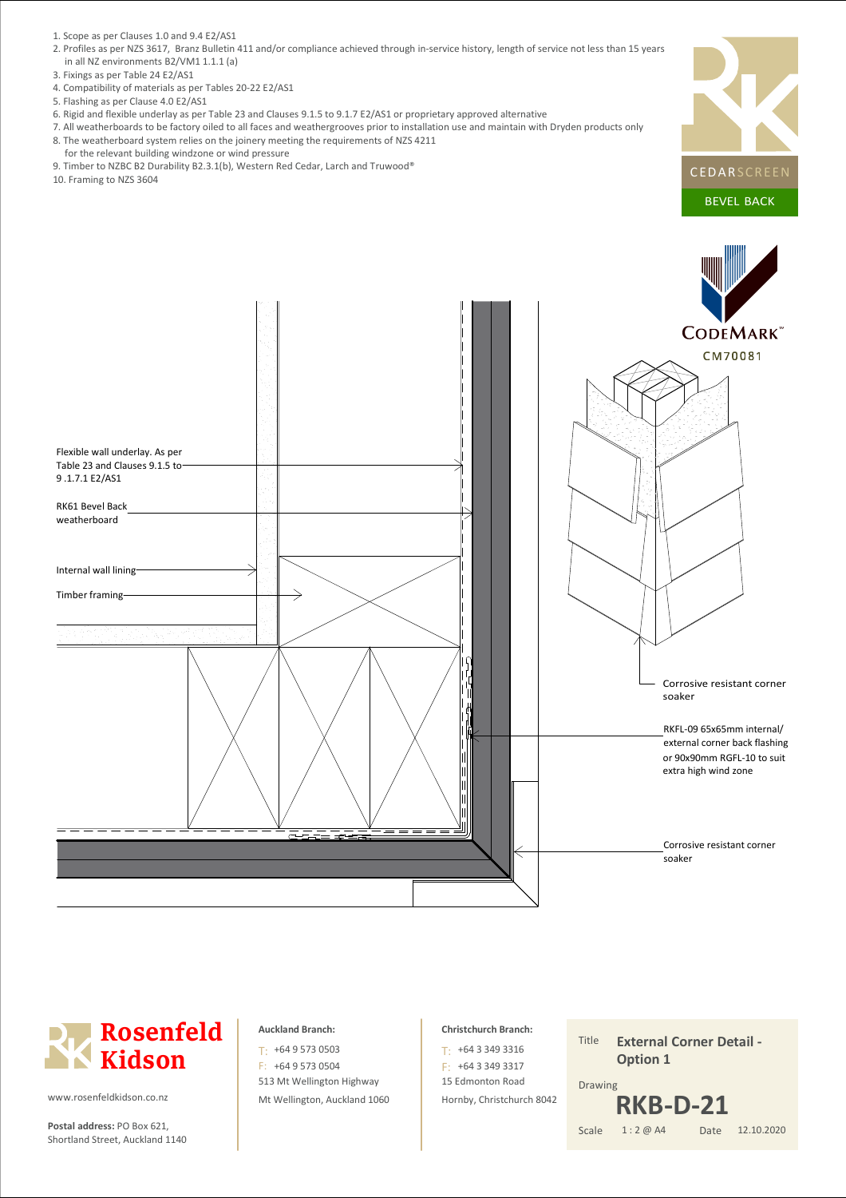- 1. Scope as per Clauses 1.0 and 9.4 E2/AS1
- 2. Profiles as per NZS 3617, Branz Bulletin 411 and/or compliance achieved through in-service history, length of service not less than 15 years in all NZ environments B2/VM1 1.1.1 (a)
- 3. Fixings as per Table 24 E2/AS1
- 4. Compatibility of materials as per Tables 20-22 E2/AS1
- 5. Flashing as per Clause 4.0 E2/AS1
- 6. Rigid and flexible underlay as per Table 23 and Clauses 9.1.5 to 9.1.7 E2/AS1 or proprietary approved alternative
- 7. All weatherboards to be factory oiled to all faces and weathergrooves prior to installation use and maintain with Dryden products only 8. The weatherboard system relies on the joinery meeting the requirements of NZS 4211
- for the relevant building windzone or wind pressure
- 9. Timber to NZBC B2 Durability B2.3.1(b), Western Red Cedar, Larch and Truwood®
- 10. Framing to NZS 3604





![](_page_8_Picture_12.jpeg)

**Postal address:** PO Box 621, Scale Shortland Street, Auckland 1140

#### **Auckland Branch:**

513 Mt Wellington Highway Mt Wellington, Auckland 1060 T: +64 9 573 0503 F: +64 9 573 0504

#### **Christchurch Branch:**

15 Edmonton Road Hornby, Christchurch 8042 +64 3 349 3316 T: F: +64 3 349 3317

Title Date Drawing 1 : 2 @ A4 **External Corner Detail - Option 1** 12.10.2020 **RKB-D-21**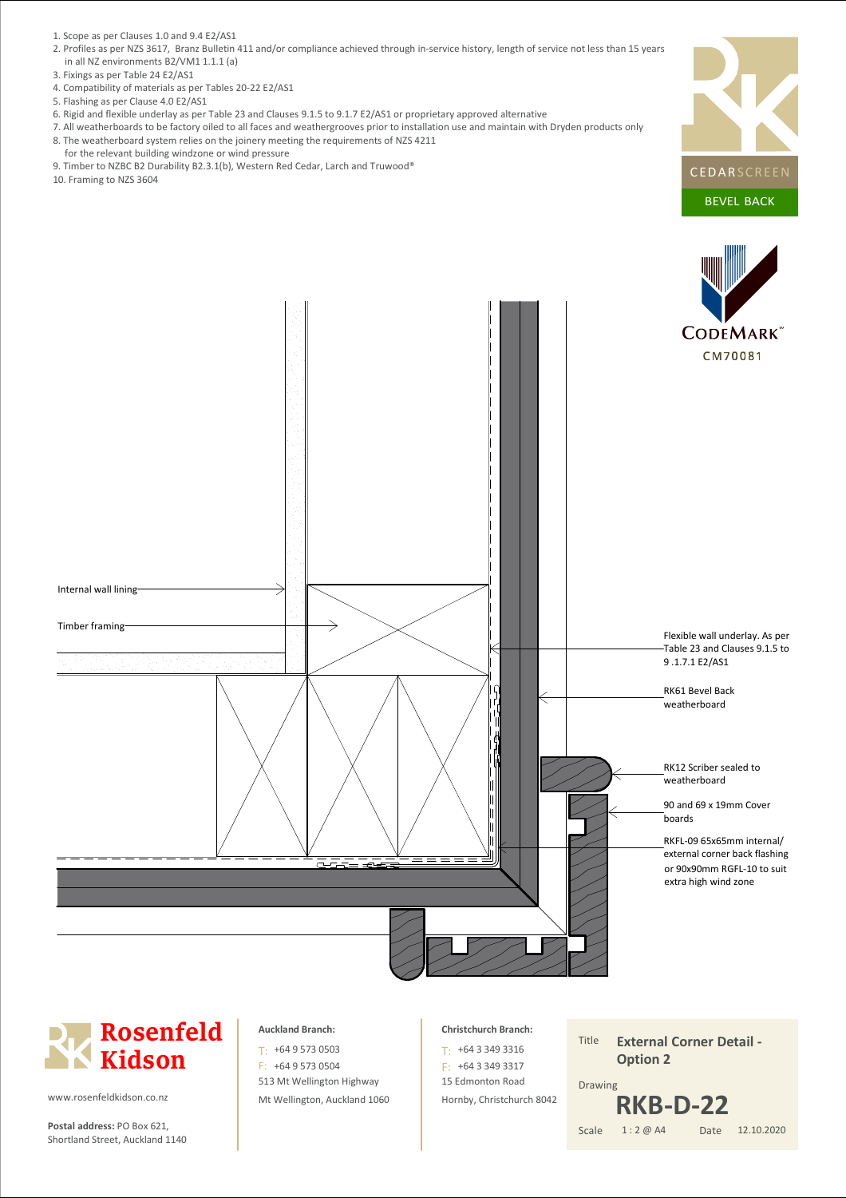- 1. Scope as per Clauses 1.0 and 9.4 E2/AS1
- 2. Profiles as per NZS 3617, Branz Bulletin 411 and/or compliance achieved through in-service history, length of service not less than 15 years in all NZ environments B2/VM1 1.1.1 (a)
- 3. Fixings as per Table 24 E2/AS1
- 4. Compatibility of materials as per Tables 20-22 E2/AS1
- 5. Flashing as per Clause 4.0 E2/AS1
- 6. Rigid and flexible underlay as per Table 23 and Clauses 9.1.5 to 9.1.7 E2/AS1 or proprietary approved alternative
- 7. All weatherboards to be factory oiled to all faces and weathergrooves prior to installation use and maintain with Dryden products only 8. The weatherboard system relies on the joinery meeting the requirements of NZS 4211
- for the relevant building windzone or wind pressure
- 9. Timber to NZBC B2 Durability B2.3.1(b), Western Red Cedar, Larch and Truwood®
- 10. Framing to NZS 3604

![](_page_9_Picture_10.jpeg)

![](_page_9_Figure_11.jpeg)

# **Rosenfeld Kidson**

www.rosenfeldkidson.co.nz

**Postal address:** PO Box 621, Scale Shortland Street, Auckland 1140

### **Auckland Branch:**

513 Mt Wellington Highway Mt Wellington, Auckland 1060 T: +64 9 573 0503 F: +64 9 573 0504

### **Christchurch Branch:**

15 Edmonton Road Hornby, Christchurch 8042 +64 3 349 3316 T: F: +64 3 349 3317

Title Date Drawing 1 : 2 @ A4 **External Corner Detail - Option 2** 12.10.2020 **RKB-D-22**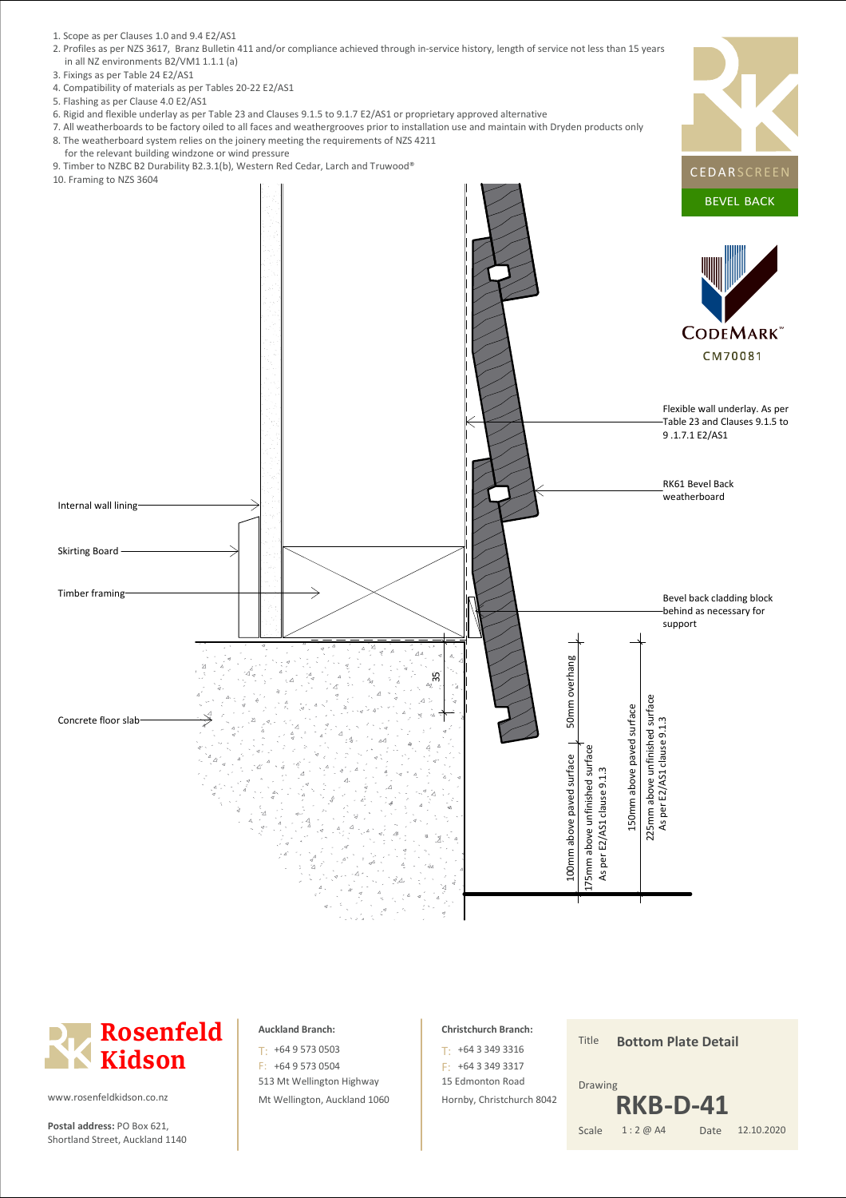- 1. Scope as per Clauses 1.0 and 9.4 E2/AS1
- 2. Profiles as per NZS 3617, Branz Bulletin 411 and/or compliance achieved through in-service history, length of service not less than 15 years in all NZ environments B2/VM1 1.1.1 (a)
- 3. Fixings as per Table 24 E2/AS1
- 4. Compatibility of materials as per Tables 20-22 E2/AS1
- 5. Flashing as per Clause 4.0 E2/AS1
- 6. Rigid and flexible underlay as per Table 23 and Clauses 9.1.5 to 9.1.7 E2/AS1 or proprietary approved alternative
- 7. All weatherboards to be factory oiled to all faces and weathergrooves prior to installation use and maintain with Dryden products only 8. The weatherboard system relies on the joinery meeting the requirements of NZS 4211
- for the relevant building windzone or wind pressure
- 
- 

![](_page_10_Figure_10.jpeg)

![](_page_10_Picture_11.jpeg)

**Postal address:** PO Box 621, Scale Shortland Street, Auckland 1140

#### **Auckland Branch:**

513 Mt Wellington Highway Mt Wellington, Auckland 1060 T: +64 9 573 0503 F: +64 9 573 0504

#### **Christchurch Branch:**

15 Edmonton Road Hornby, Christchurch 8042 +64 3 349 3316 T: F: +64 3 349 3317

Title Date Drawing 1 : 2 @ A4 **Bottom Plate Detail** 12.10.2020 **RKB-D-41**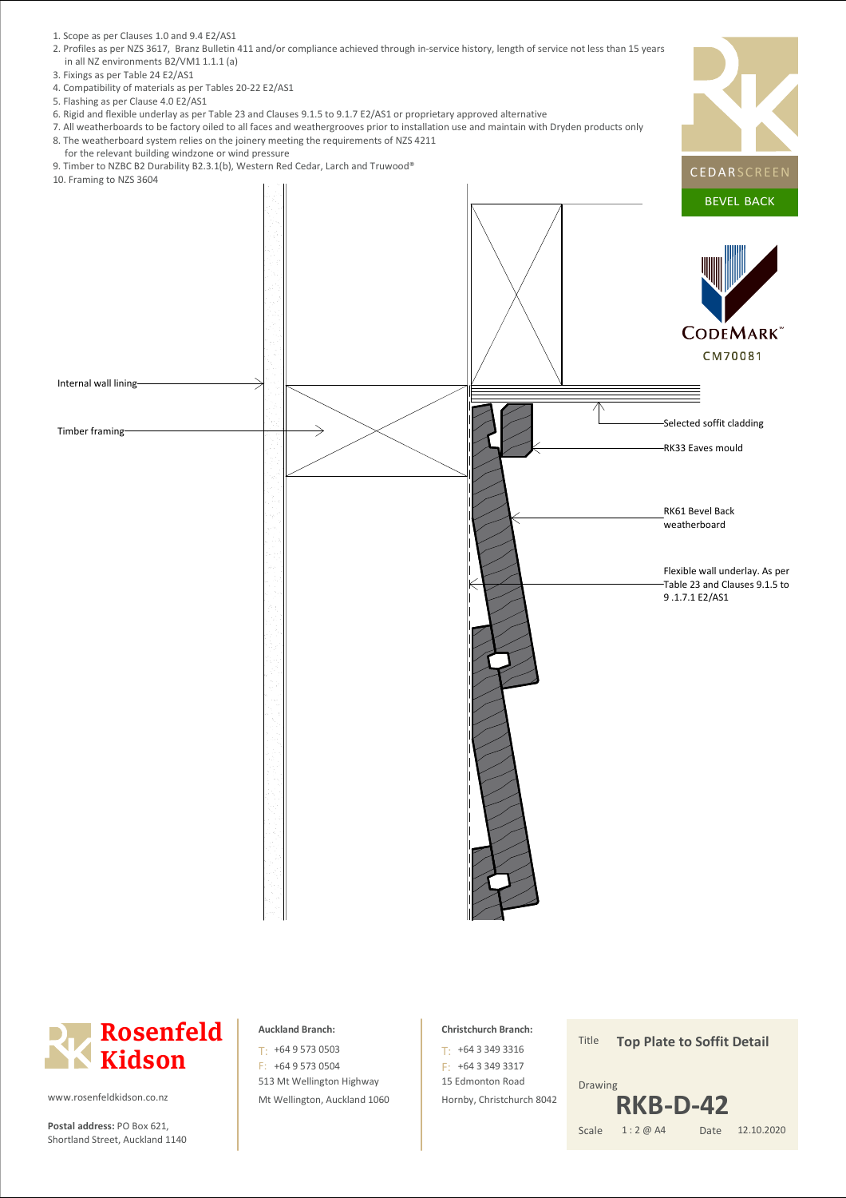- 1. Scope as per Clauses 1.0 and 9.4 E2/AS1
- 2. Profiles as per NZS 3617, Branz Bulletin 411 and/or compliance achieved through in-service history, length of service not less than 15 years in all NZ environments B2/VM1 1.1.1 (a)
- 3. Fixings as per Table 24 E2/AS1
- 4. Compatibility of materials as per Tables 20-22 E2/AS1
- 5. Flashing as per Clause 4.0 E2/AS1
- 6. Rigid and flexible underlay as per Table 23 and Clauses 9.1.5 to 9.1.7 E2/AS1 or proprietary approved alternative
- 7. All weatherboards to be factory oiled to all faces and weathergrooves prior to installation use and maintain with Dryden products only 8. The weatherboard system relies on the joinery meeting the requirements of NZS 4211
- for the relevant building windzone or wind pressure
- 9. Timber to NZBC B2 Durability B2.3.1(b), Western Red Cedar, Larch and Truwood®

![](_page_11_Figure_9.jpeg)

![](_page_11_Picture_10.jpeg)

**Postal address:** PO Box 621, Scale Shortland Street, Auckland 1140

#### **Auckland Branch:**

513 Mt Wellington Highway Mt Wellington, Auckland 1060 T: +64 9 573 0503 F: +64 9 573 0504

#### **Christchurch Branch:**

15 Edmonton Road Hornby, Christchurch 8042 +64 3 349 3316 T: F: +64 3 349 3317

Title Date Drawing 1 : 2 @ A4 **Top Plate to Soffit Detail** 12.10.2020 **RKB-D-42**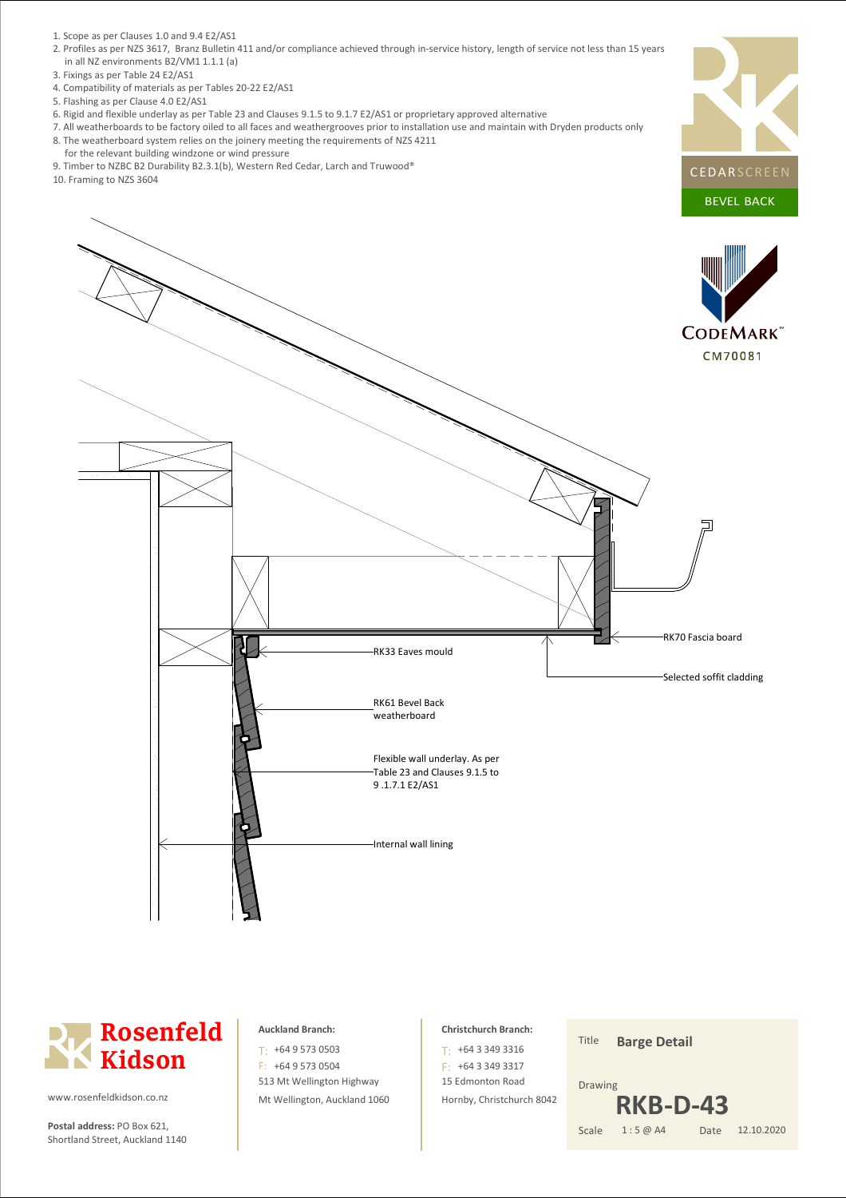- 1. Scope as per Clauses 1.0 and 9.4 E2/AS1
- 2. Profiles as per NZS 3617, Branz Bulletin 411 and/or compliance achieved through in-service history, length of service not less than 15 years in all NZ environments B2/VM1 1.1.1 (a)
- 3. Fixings as per Table 24 E2/AS1
- 4. Compatibility of materials as per Tables 20-22 E2/AS1
- 5. Flashing as per Clause 4.0 E2/AS1
- 6. Rigid and flexible underlay as per Table 23 and Clauses 9.1.5 to 9.1.7 E2/AS1 or proprietary approved alternative
- 7. All weatherboards to be factory oiled to all faces and weathergrooves prior to installation use and maintain with Dryden products only 8. The weatherboard system relies on the joinery meeting the requirements of NZS 4211
- for the relevant building windzone or wind pressure
- 9. Timber to NZBC B2 Durability B2.3.1(b), Western Red Cedar, Larch and Truwood®
- 10. Framing to NZS 3604

![](_page_12_Picture_10.jpeg)

![](_page_12_Picture_11.jpeg)

![](_page_12_Picture_12.jpeg)

**Postal address:** PO Box 621, Scale Shortland Street, Auckland 1140

### **Auckland Branch:**

513 Mt Wellington Highway Mt Wellington, Auckland 1060 T: +64 9 573 0503 F: +64 9 573 0504

#### **Christchurch Branch:**

15 Edmonton Road Hornby, Christchurch 8042 +64 3 349 3316 T: F: +64 3 349 3317

Title Date Drawing 1 : 5 @ A4 **Barge Detail** 12.10.2020 **RKB-D-43**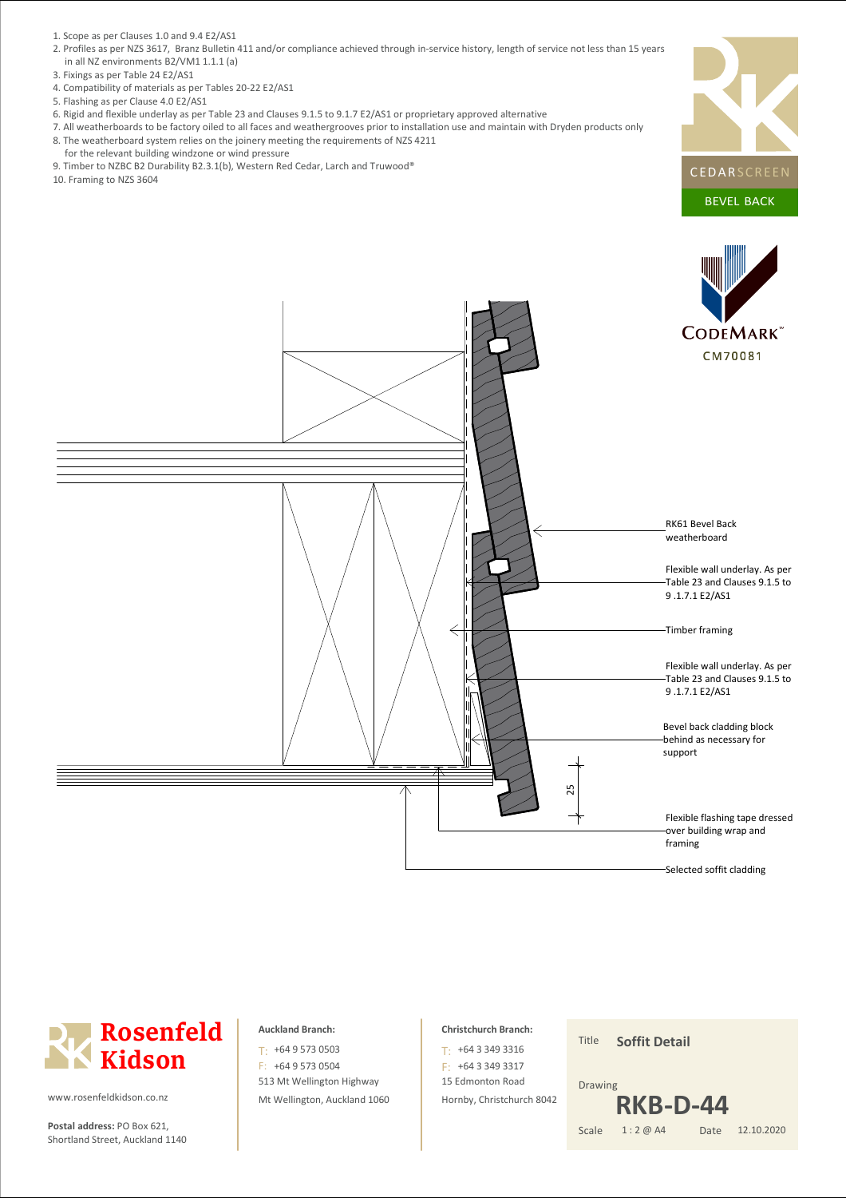- 1. Scope as per Clauses 1.0 and 9.4 E2/AS1
- 2. Profiles as per NZS 3617, Branz Bulletin 411 and/or compliance achieved through in-service history, length of service not less than 15 years in all NZ environments B2/VM1 1.1.1 (a)
- 3. Fixings as per Table 24 E2/AS1
- 4. Compatibility of materials as per Tables 20-22 E2/AS1
- 5. Flashing as per Clause 4.0 E2/AS1
- 6. Rigid and flexible underlay as per Table 23 and Clauses 9.1.5 to 9.1.7 E2/AS1 or proprietary approved alternative
- 7. All weatherboards to be factory oiled to all faces and weathergrooves prior to installation use and maintain with Dryden products only 8. The weatherboard system relies on the joinery meeting the requirements of NZS 4211
- for the relevant building windzone or wind pressure
- 9. Timber to NZBC B2 Durability B2.3.1(b), Western Red Cedar, Larch and Truwood®
- 10. Framing to NZS 3604

![](_page_13_Picture_10.jpeg)

![](_page_13_Picture_11.jpeg)

![](_page_13_Picture_12.jpeg)

**Postal address:** PO Box 621, Scale Shortland Street, Auckland 1140

#### **Auckland Branch:**

513 Mt Wellington Highway Mt Wellington, Auckland 1060 T: +64 9 573 0503 F: +64 9 573 0504

#### **Christchurch Branch:**

15 Edmonton Road Hornby, Christchurch 8042 +64 3 349 3316 T: F: +64 3 349 3317

Title **Soffit Detail**

#### Date Drawing 1 : 2 @ A4 12.10.2020 **RKB-D-44**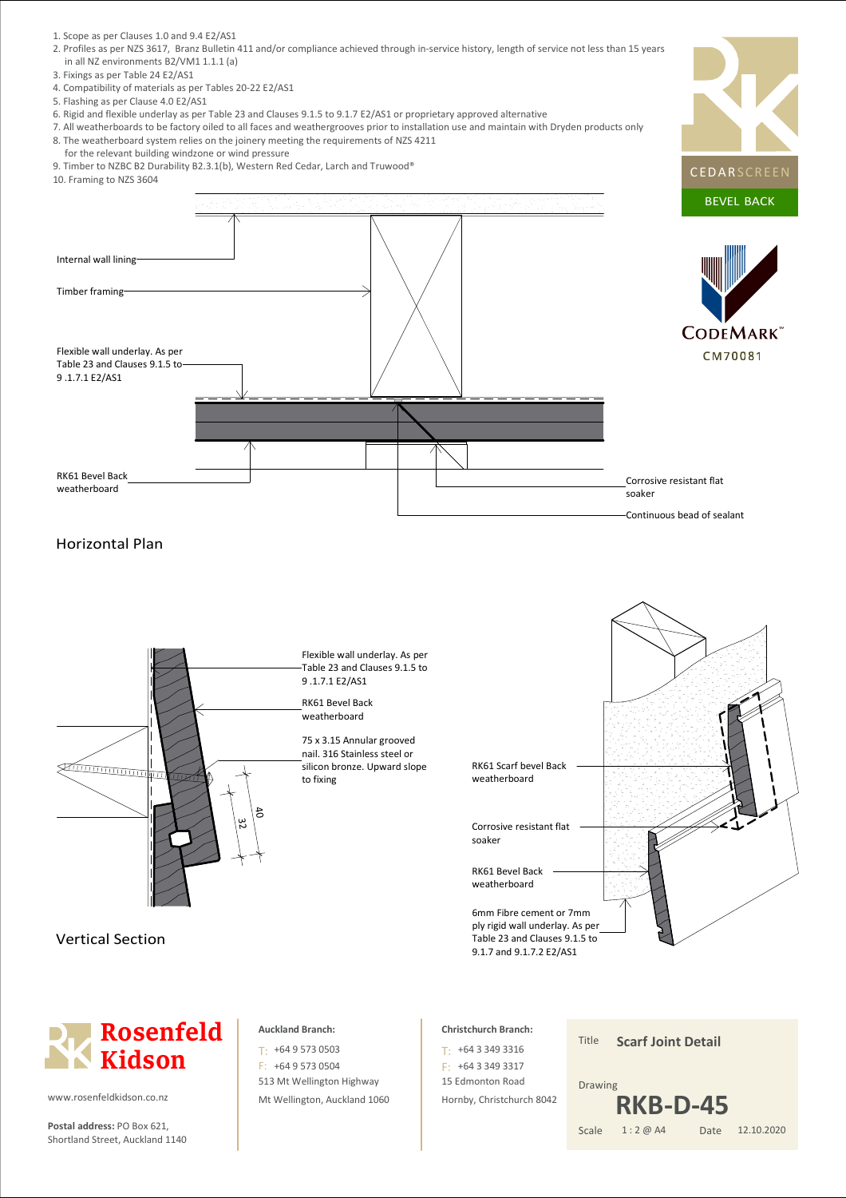- 1. Scope as per Clauses 1.0 and 9.4 E2/AS1
- 2. Profiles as per NZS 3617, Branz Bulletin 411 and/or compliance achieved through in-service history, length of service not less than 15 years in all NZ environments B2/VM1 1.1.1 (a)
- 3. Fixings as per Table 24 E2/AS1
- 4. Compatibility of materials as per Tables 20-22 E2/AS1
- 5. Flashing as per Clause 4.0 E2/AS1
- 6. Rigid and flexible underlay as per Table 23 and Clauses 9.1.5 to 9.1.7 E2/AS1 or proprietary approved alternative
- 7. All weatherboards to be factory oiled to all faces and weathergrooves prior to installation use and maintain with Dryden products only 8. The weatherboard system relies on the joinery meeting the requirements of NZS 4211
- for the relevant building windzone or wind pressure
- 9. Timber to NZBC B2 Durability B2.3.1(b), Western Red Cedar, Larch and Truwood®
- 10. Framing to NZS 3604

![](_page_14_Figure_10.jpeg)

## Horizontal Plan

![](_page_14_Figure_12.jpeg)

**Rosenfeld Kidson**

www.rosenfeldkidson.co.nz

**Postal address:** PO Box 621, Scale Shortland Street, Auckland 1140

### **Auckland Branch:**

513 Mt Wellington Highway Mt Wellington, Auckland 1060 T: +64 9 573 0503 F: +64 9 573 0504

#### **Christchurch Branch:**

15 Edmonton Road Hornby, Christchurch 8042 +64 3 349 3316 T: F: +64 3 349 3317

Title Date Drawing 1 : 2 @ A4 **Scarf Joint Detail** 12.10.2020 **RKB-D-45**

**CEDARSCREEN**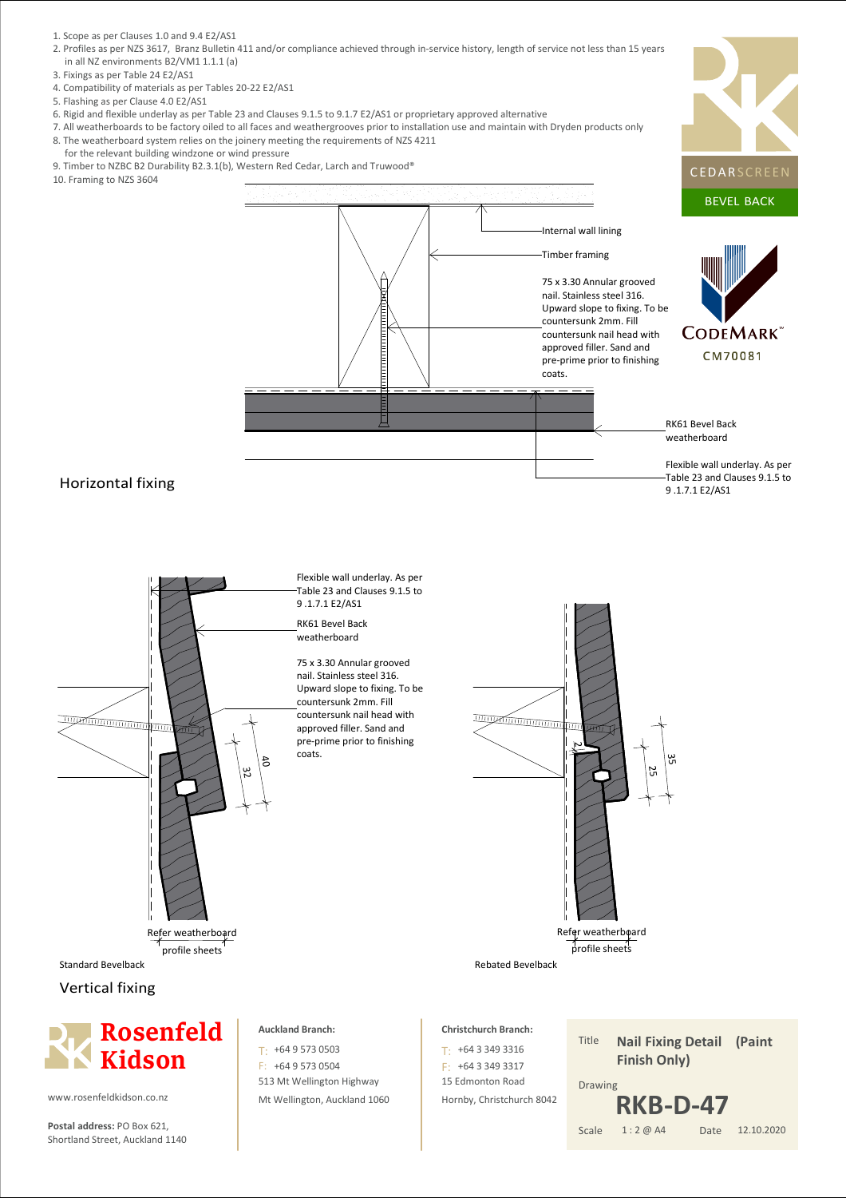- 1. Scope as per Clauses 1.0 and 9.4 E2/AS1
- 2. Profiles as per NZS 3617, Branz Bulletin 411 and/or compliance achieved through in-service history, length of service not less than 15 years in all NZ environments B2/VM1 1.1.1 (a)
- 3. Fixings as per Table 24 E2/AS1
- 4. Compatibility of materials as per Tables 20-22 E2/AS1
- 5. Flashing as per Clause 4.0 E2/AS1
- 6. Rigid and flexible underlay as per Table 23 and Clauses 9.1.5 to 9.1.7 E2/AS1 or proprietary approved alternative
- 7. All weatherboards to be factory oiled to all faces and weathergrooves prior to installation use and maintain with Dryden products only 8. The weatherboard system relies on the joinery meeting the requirements of NZS 4211
- for the relevant building windzone or wind pressure
- 9. Timber to NZBC B2 Durability B2.3.1(b), Western Red Cedar, Larch and Truwood®
- 10. Framing to NZS 3604

![](_page_15_Figure_10.jpeg)

![](_page_15_Figure_11.jpeg)

![](_page_15_Figure_12.jpeg)

**Postal address:** PO Box 621, Scale Shortland Street, Auckland 1140

513 Mt Wellington Highway Mt Wellington, Auckland 1060 15 Edmonton Road Hornby, Christchurch 8042

Date Drawing 1 : 2 @ A4 12.10.2020 **RKB-D-47**